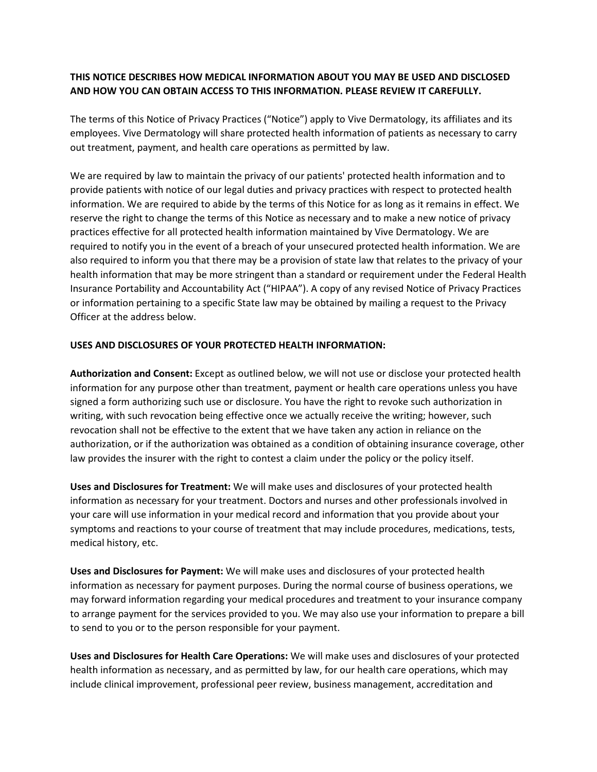## **THIS NOTICE DESCRIBES HOW MEDICAL INFORMATION ABOUT YOU MAY BE USED AND DISCLOSED AND HOW YOU CAN OBTAIN ACCESS TO THIS INFORMATION. PLEASE REVIEW IT CAREFULLY.**

The terms of this Notice of Privacy Practices ("Notice") apply to Vive Dermatology, its affiliates and its employees. Vive Dermatology will share protected health information of patients as necessary to carry out treatment, payment, and health care operations as permitted by law.

We are required by law to maintain the privacy of our patients' protected health information and to provide patients with notice of our legal duties and privacy practices with respect to protected health information. We are required to abide by the terms of this Notice for as long as it remains in effect. We reserve the right to change the terms of this Notice as necessary and to make a new notice of privacy practices effective for all protected health information maintained by Vive Dermatology. We are required to notify you in the event of a breach of your unsecured protected health information. We are also required to inform you that there may be a provision of state law that relates to the privacy of your health information that may be more stringent than a standard or requirement under the Federal Health Insurance Portability and Accountability Act ("HIPAA"). A copy of any revised Notice of Privacy Practices or information pertaining to a specific State law may be obtained by mailing a request to the Privacy Officer at the address below.

## **USES AND DISCLOSURES OF YOUR PROTECTED HEALTH INFORMATION:**

**Authorization and Consent:** Except as outlined below, we will not use or disclose your protected health information for any purpose other than treatment, payment or health care operations unless you have signed a form authorizing such use or disclosure. You have the right to revoke such authorization in writing, with such revocation being effective once we actually receive the writing; however, such revocation shall not be effective to the extent that we have taken any action in reliance on the authorization, or if the authorization was obtained as a condition of obtaining insurance coverage, other law provides the insurer with the right to contest a claim under the policy or the policy itself.

**Uses and Disclosures for Treatment:** We will make uses and disclosures of your protected health information as necessary for your treatment. Doctors and nurses and other professionals involved in your care will use information in your medical record and information that you provide about your symptoms and reactions to your course of treatment that may include procedures, medications, tests, medical history, etc.

**Uses and Disclosures for Payment:** We will make uses and disclosures of your protected health information as necessary for payment purposes. During the normal course of business operations, we may forward information regarding your medical procedures and treatment to your insurance company to arrange payment for the services provided to you. We may also use your information to prepare a bill to send to you or to the person responsible for your payment.

**Uses and Disclosures for Health Care Operations:** We will make uses and disclosures of your protected health information as necessary, and as permitted by law, for our health care operations, which may include clinical improvement, professional peer review, business management, accreditation and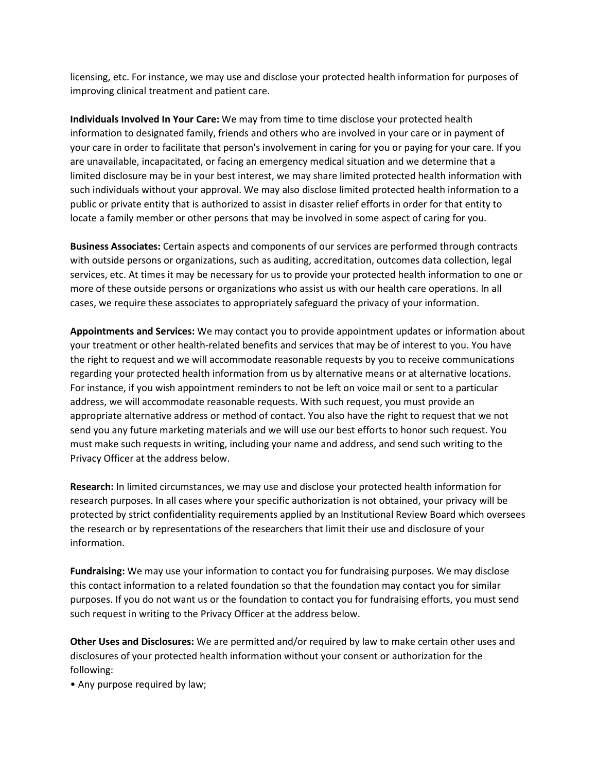licensing, etc. For instance, we may use and disclose your protected health information for purposes of improving clinical treatment and patient care.

**Individuals Involved In Your Care:** We may from time to time disclose your protected health information to designated family, friends and others who are involved in your care or in payment of your care in order to facilitate that person's involvement in caring for you or paying for your care. If you are unavailable, incapacitated, or facing an emergency medical situation and we determine that a limited disclosure may be in your best interest, we may share limited protected health information with such individuals without your approval. We may also disclose limited protected health information to a public or private entity that is authorized to assist in disaster relief efforts in order for that entity to locate a family member or other persons that may be involved in some aspect of caring for you.

**Business Associates:** Certain aspects and components of our services are performed through contracts with outside persons or organizations, such as auditing, accreditation, outcomes data collection, legal services, etc. At times it may be necessary for us to provide your protected health information to one or more of these outside persons or organizations who assist us with our health care operations. In all cases, we require these associates to appropriately safeguard the privacy of your information.

**Appointments and Services:** We may contact you to provide appointment updates or information about your treatment or other health-related benefits and services that may be of interest to you. You have the right to request and we will accommodate reasonable requests by you to receive communications regarding your protected health information from us by alternative means or at alternative locations. For instance, if you wish appointment reminders to not be left on voice mail or sent to a particular address, we will accommodate reasonable requests. With such request, you must provide an appropriate alternative address or method of contact. You also have the right to request that we not send you any future marketing materials and we will use our best efforts to honor such request. You must make such requests in writing, including your name and address, and send such writing to the Privacy Officer at the address below.

**Research:** In limited circumstances, we may use and disclose your protected health information for research purposes. In all cases where your specific authorization is not obtained, your privacy will be protected by strict confidentiality requirements applied by an Institutional Review Board which oversees the research or by representations of the researchers that limit their use and disclosure of your information.

**Fundraising:** We may use your information to contact you for fundraising purposes. We may disclose this contact information to a related foundation so that the foundation may contact you for similar purposes. If you do not want us or the foundation to contact you for fundraising efforts, you must send such request in writing to the Privacy Officer at the address below.

**Other Uses and Disclosures:** We are permitted and/or required by law to make certain other uses and disclosures of your protected health information without your consent or authorization for the following:

• Any purpose required by law;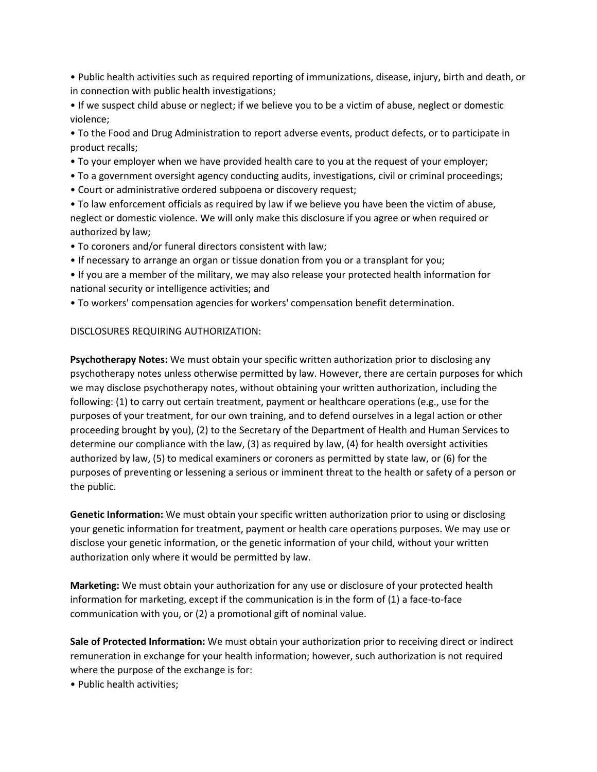• Public health activities such as required reporting of immunizations, disease, injury, birth and death, or in connection with public health investigations;

• If we suspect child abuse or neglect; if we believe you to be a victim of abuse, neglect or domestic violence;

• To the Food and Drug Administration to report adverse events, product defects, or to participate in product recalls;

- To your employer when we have provided health care to you at the request of your employer;
- To a government oversight agency conducting audits, investigations, civil or criminal proceedings;
- Court or administrative ordered subpoena or discovery request;

• To law enforcement officials as required by law if we believe you have been the victim of abuse, neglect or domestic violence. We will only make this disclosure if you agree or when required or authorized by law;

- To coroners and/or funeral directors consistent with law;
- If necessary to arrange an organ or tissue donation from you or a transplant for you;
- If you are a member of the military, we may also release your protected health information for national security or intelligence activities; and
- To workers' compensation agencies for workers' compensation benefit determination.

## DISCLOSURES REQUIRING AUTHORIZATION:

**Psychotherapy Notes:** We must obtain your specific written authorization prior to disclosing any psychotherapy notes unless otherwise permitted by law. However, there are certain purposes for which we may disclose psychotherapy notes, without obtaining your written authorization, including the following: (1) to carry out certain treatment, payment or healthcare operations (e.g., use for the purposes of your treatment, for our own training, and to defend ourselves in a legal action or other proceeding brought by you), (2) to the Secretary of the Department of Health and Human Services to determine our compliance with the law, (3) as required by law, (4) for health oversight activities authorized by law, (5) to medical examiners or coroners as permitted by state law, or (6) for the purposes of preventing or lessening a serious or imminent threat to the health or safety of a person or the public.

**Genetic Information:** We must obtain your specific written authorization prior to using or disclosing your genetic information for treatment, payment or health care operations purposes. We may use or disclose your genetic information, or the genetic information of your child, without your written authorization only where it would be permitted by law.

**Marketing:** We must obtain your authorization for any use or disclosure of your protected health information for marketing, except if the communication is in the form of (1) a face-to-face communication with you, or (2) a promotional gift of nominal value.

**Sale of Protected Information:** We must obtain your authorization prior to receiving direct or indirect remuneration in exchange for your health information; however, such authorization is not required where the purpose of the exchange is for:

• Public health activities;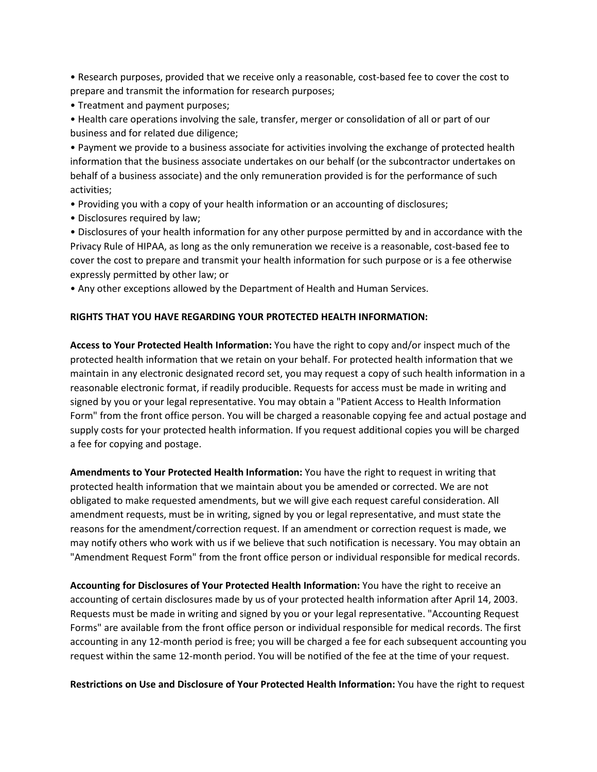• Research purposes, provided that we receive only a reasonable, cost-based fee to cover the cost to prepare and transmit the information for research purposes;

• Treatment and payment purposes;

• Health care operations involving the sale, transfer, merger or consolidation of all or part of our business and for related due diligence;

• Payment we provide to a business associate for activities involving the exchange of protected health information that the business associate undertakes on our behalf (or the subcontractor undertakes on behalf of a business associate) and the only remuneration provided is for the performance of such activities;

- Providing you with a copy of your health information or an accounting of disclosures;
- Disclosures required by law;

• Disclosures of your health information for any other purpose permitted by and in accordance with the Privacy Rule of HIPAA, as long as the only remuneration we receive is a reasonable, cost-based fee to cover the cost to prepare and transmit your health information for such purpose or is a fee otherwise expressly permitted by other law; or

• Any other exceptions allowed by the Department of Health and Human Services.

## **RIGHTS THAT YOU HAVE REGARDING YOUR PROTECTED HEALTH INFORMATION:**

**Access to Your Protected Health Information:** You have the right to copy and/or inspect much of the protected health information that we retain on your behalf. For protected health information that we maintain in any electronic designated record set, you may request a copy of such health information in a reasonable electronic format, if readily producible. Requests for access must be made in writing and signed by you or your legal representative. You may obtain a "Patient Access to Health Information Form" from the front office person. You will be charged a reasonable copying fee and actual postage and supply costs for your protected health information. If you request additional copies you will be charged a fee for copying and postage.

**Amendments to Your Protected Health Information:** You have the right to request in writing that protected health information that we maintain about you be amended or corrected. We are not obligated to make requested amendments, but we will give each request careful consideration. All amendment requests, must be in writing, signed by you or legal representative, and must state the reasons for the amendment/correction request. If an amendment or correction request is made, we may notify others who work with us if we believe that such notification is necessary. You may obtain an "Amendment Request Form" from the front office person or individual responsible for medical records.

**Accounting for Disclosures of Your Protected Health Information:** You have the right to receive an accounting of certain disclosures made by us of your protected health information after April 14, 2003. Requests must be made in writing and signed by you or your legal representative. "Accounting Request Forms" are available from the front office person or individual responsible for medical records. The first accounting in any 12-month period is free; you will be charged a fee for each subsequent accounting you request within the same 12-month period. You will be notified of the fee at the time of your request.

**Restrictions on Use and Disclosure of Your Protected Health Information:** You have the right to request